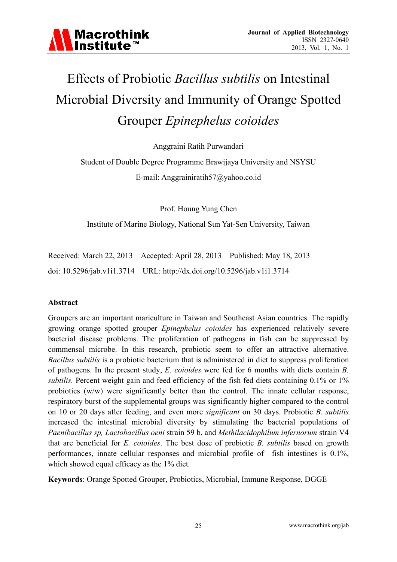

# Effects of Probiotic *Bacillus subtilis* on Intestinal Microbial Diversity and Immunity of Orange Spotted Grouper *Epinephelus coioides*

Anggraini Ratih Purwandari

Student of Double Degree Programme Brawijaya University and NSYSU E-mail: Anggrainiratih57@yahoo.co.id

Prof. Houng Yung Chen

Institute of Marine Biology, National Sun Yat-Sen University, Taiwan

Received: March 22, 2013 Accepted: April 28, 2013 Published: May 18, 2013 doi: 10.5296/jab.v1i1.3714 URL: http://dx.doi.org/10.5296/jab.v1i1.3714

#### **Abstract**

Groupers are an important mariculture in Taiwan and Southeast Asian countries. The rapidly growing orange spotted grouper *Epinephelus coioides* has experienced relatively severe bacterial disease problems. The proliferation of pathogens in fish can be suppressed by commensal microbe. In this research, probiotic seem to offer an attractive alternative. *Bacillus subtilis* is a probiotic bacterium that is administered in diet to suppress proliferation of pathogens. In the present study, *E. coioides* were fed for 6 months with diets contain *B. subtilis.* Percent weight gain and feed efficiency of the fish fed diets containing 0.1% or 1% probiotics (w/w) were significantly better than the control. The innate cellular response, respiratory burst of the supplemental groups was significantly higher compared to the control on 10 or 20 days after feeding, and even more *significant* on 30 days. Probiotic *B. subtilis* increased the intestinal microbial diversity by stimulating the bacterial populations of *Paenibacillus sp, Lactobacillus oeni* strain 59 b, and *Methilacidophilum infernorum* strain V4 that are beneficial for *E. coioides*. The best dose of probiotic *B. subtilis* based on growth performances, innate cellular responses and microbial profile of fish intestines is 0.1%, which showed equal efficacy as the 1% diet*.*

**Keywords**: Orange Spotted Grouper, Probiotics, Microbial, Immune Response, DGGE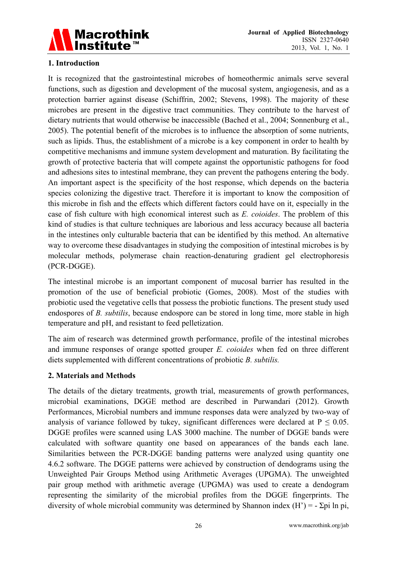

# **1. Introduction**

It is recognized that the gastrointestinal microbes of homeothermic animals serve several functions, such as digestion and development of the mucosal system, angiogenesis, and as a protection barrier against disease (Schiffrin, 2002; Stevens, 1998). The majority of these microbes are present in the digestive tract communities. They contribute to the harvest of dietary nutrients that would otherwise be inaccessible (Bached et al., 2004; Sonnenburg et al., 2005). The potential benefit of the microbes is to influence the absorption of some nutrients, such as lipids. Thus, the establishment of a microbe is a key component in order to health by competitive mechanisms and immune system development and maturation. By facilitating the growth of protective bacteria that will compete against the opportunistic pathogens for food and adhesions sites to intestinal membrane, they can prevent the pathogens entering the body. An important aspect is the specificity of the host response, which depends on the bacteria species colonizing the digestive tract. Therefore it is important to know the composition of this microbe in fish and the effects which different factors could have on it, especially in the case of fish culture with high economical interest such as *E. coioides*. The problem of this kind of studies is that culture techniques are laborious and less accuracy because all bacteria in the intestines only culturable bacteria that can be identified by this method. An alternative way to overcome these disadvantages in studying the composition of intestinal microbes is by molecular methods, polymerase chain reaction-denaturing gradient gel electrophoresis (PCR-DGGE).

The intestinal microbe is an important component of mucosal barrier has resulted in the promotion of the use of beneficial probiotic (Gomes, 2008). Most of the studies with probiotic used the vegetative cells that possess the probiotic functions. The present study used endospores of *B. subtilis*, because endospore can be stored in long time, more stable in high temperature and pH, and resistant to feed pelletization.

The aim of research was determined growth performance, profile of the intestinal microbes and immune responses of orange spotted grouper *E. coioides* when fed on three different diets supplemented with different concentrations of probiotic *B. subtilis.* 

### **2. Materials and Methods**

The details of the dietary treatments, growth trial, measurements of growth performances, microbial examinations, DGGE method are described in Purwandari (2012). Growth Performances, Microbial numbers and immune responses data were analyzed by two-way of analysis of variance followed by tukey, significant differences were declared at  $P \le 0.05$ . DGGE profiles were scanned using LAS 3000 machine. The number of DGGE bands were calculated with software quantity one based on appearances of the bands each lane. Similarities between the PCR-DGGE banding patterns were analyzed using quantity one 4.6.2 software. The DGGE patterns were achieved by construction of dendograms using the Unweighted Pair Groups Method using Arithmetic Averages (UPGMA). The unweighted pair group method with arithmetic average (UPGMA) was used to create a dendogram representing the similarity of the microbial profiles from the DGGE fingerprints. The diversity of whole microbial community was determined by Shannon index  $(H') = -\Sigma \pi$  ln pi,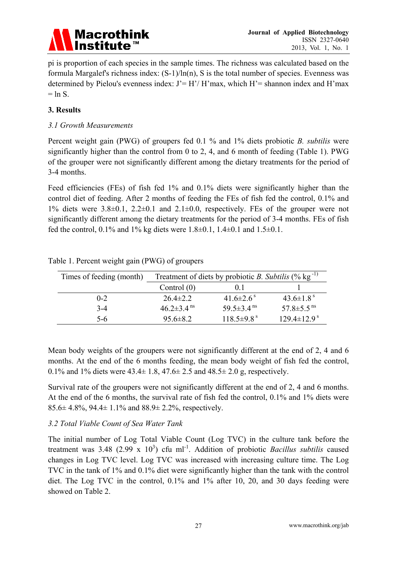

pi is proportion of each species in the sample times. The richness was calculated based on the formula Margalef's richness index: (S-1)/ln(n), S is the total number of species. Evenness was determined by Pielou's evenness index:  $J' = H'/H'$  max, which  $H'$  = shannon index and H'max  $=$  ln S.

# **3. Results**

#### *3.1 Growth Measurements*

Percent weight gain (PWG) of groupers fed 0.1 % and 1% diets probiotic *B. subtilis* were significantly higher than the control from 0 to 2, 4, and 6 month of feeding (Table 1). PWG of the grouper were not significantly different among the dietary treatments for the period of 3-4 months.

Feed efficiencies (FEs) of fish fed 1% and 0.1% diets were significantly higher than the control diet of feeding. After 2 months of feeding the FEs of fish fed the control, 0.1% and 1% diets were  $3.8\pm0.1$ ,  $2.2\pm0.1$  and  $2.1\pm0.0$ , respectively. FEs of the grouper were not significantly different among the dietary treatments for the period of 3-4 months. FEs of fish fed the control, 0.1% and 1% kg diets were  $1.8\pm0.1$ ,  $1.4\pm0.1$  and  $1.5\pm0.1$ .

| Times of feeding (month) | Treatment of diets by probiotic B. Subtilis $(\%$ kg <sup>-1)</sup> |                              |                               |  |
|--------------------------|---------------------------------------------------------------------|------------------------------|-------------------------------|--|
|                          | Control $(0)$                                                       | 0 <sup>1</sup>               |                               |  |
| $0 - 2$                  | $26.4 \pm 2.2$                                                      | 41.6 $\pm$ 2.6 <sup>s</sup>  | 43.6 $\pm$ 1.8 <sup>s</sup>   |  |
| $3-4$                    | $46.2 \pm 3.4$ <sup>ns</sup>                                        | 59.5 $\pm$ 3.4 <sup>ms</sup> | 57.8 $\pm$ 5.5 <sup>ms</sup>  |  |
| 5-6                      | $956 \pm 82$                                                        | $118.5\pm9.8^{\text{ s}}$    | $129.4 \pm 12.9$ <sup>s</sup> |  |

Table 1. Percent weight gain (PWG) of groupers

Mean body weights of the groupers were not significantly different at the end of 2, 4 and 6 months. At the end of the 6 months feeding, the mean body weight of fish fed the control, 0.1% and 1% diets were  $43.4 \pm 1.8$ ,  $47.6 \pm 2.5$  and  $48.5 \pm 2.0$  g, respectively.

Survival rate of the groupers were not significantly different at the end of 2, 4 and 6 months. At the end of the 6 months, the survival rate of fish fed the control, 0.1% and 1% diets were 85.6 $\pm$  4.8%, 94.4 $\pm$  1.1% and 88.9 $\pm$  2.2%, respectively.

### *3.2 Total Viable Count of Sea Water Tank*

The initial number of Log Total Viable Count (Log TVC) in the culture tank before the treatment was 3.48  $(2.99 \times 10^3)$  cfu ml<sup>-1</sup>. Addition of probiotic *Bacillus subtilis* caused changes in Log TVC level. Log TVC was increased with increasing culture time. The Log TVC in the tank of 1% and 0.1% diet were significantly higher than the tank with the control diet. The Log TVC in the control, 0.1% and 1% after 10, 20, and 30 days feeding were showed on Table 2.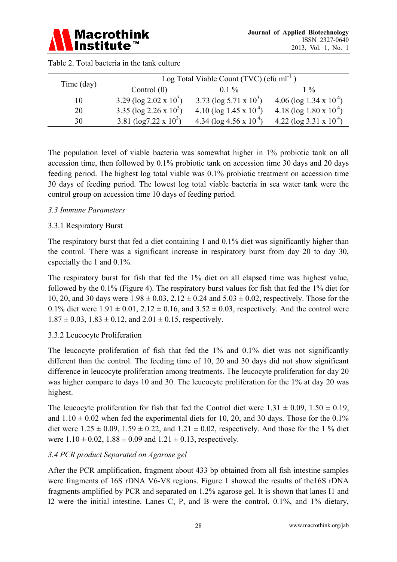|            | Log Total Viable Count $(TVC)$ (cfu ml <sup>-1</sup> ) |                                    |                                    |  |
|------------|--------------------------------------------------------|------------------------------------|------------------------------------|--|
| Time (day) | Control $(0)$                                          | $01\%$                             | $1\%$                              |  |
|            | 3.29 ( $log 2.02 \times 10^3$ )                        | 3.73 ( $log 5.71 \times 10^3$ )    | 4.06 (log 1.34 x 10 <sup>4</sup> ) |  |
| 20         | 3.35 ( $log 2.26 \times 10^3$ )                        | 4.10 (log 1.45 x $10^{4}$ )        | 4.18 (log 1.80 x 10 <sup>4</sup> ) |  |
| 30         | 3.81 ( $log7.22 \times 10^3$ )                         | 4.34 ( $\log 4.56 \times 10^{4}$ ) | 4.22 ( $log 3.31 \times 10^{4}$ )  |  |

| Table 2. Total bacteria in the tank culture |  |  |  |
|---------------------------------------------|--|--|--|
|                                             |  |  |  |

The population level of viable bacteria was somewhat higher in 1% probiotic tank on all accession time, then followed by 0.1% probiotic tank on accession time 30 days and 20 days feeding period. The highest log total viable was 0.1% probiotic treatment on accession time 30 days of feeding period. The lowest log total viable bacteria in sea water tank were the control group on accession time 10 days of feeding period.

### *3.3 Immune Parameters*

### 3.3.1 Respiratory Burst

The respiratory burst that fed a diet containing 1 and 0.1% diet was significantly higher than the control. There was a significant increase in respiratory burst from day 20 to day 30, especially the 1 and 0.1%.

The respiratory burst for fish that fed the 1% diet on all elapsed time was highest value, followed by the 0.1% (Figure 4). The respiratory burst values for fish that fed the 1% diet for 10, 20, and 30 days were  $1.98 \pm 0.03$ ,  $2.12 \pm 0.24$  and  $5.03 \pm 0.02$ , respectively. Those for the 0.1% diet were  $1.91 \pm 0.01$ ,  $2.12 \pm 0.16$ , and  $3.52 \pm 0.03$ , respectively. And the control were  $1.87 \pm 0.03$ ,  $1.83 \pm 0.12$ , and  $2.01 \pm 0.15$ , respectively.

### 3.3.2 Leucocyte Proliferation

The leucocyte proliferation of fish that fed the 1% and 0.1% diet was not significantly different than the control. The feeding time of 10, 20 and 30 days did not show significant difference in leucocyte proliferation among treatments. The leucocyte proliferation for day 20 was higher compare to days 10 and 30. The leucocyte proliferation for the 1% at day 20 was highest.

The leucocyte proliferation for fish that fed the Control diet were  $1.31 \pm 0.09$ ,  $1.50 \pm 0.19$ , and  $1.10 \pm 0.02$  when fed the experimental diets for 10, 20, and 30 days. Those for the 0.1% diet were  $1.25 \pm 0.09$ ,  $1.59 \pm 0.22$ , and  $1.21 \pm 0.02$ , respectively. And those for the 1 % diet were  $1.10 \pm 0.02$ ,  $1.88 \pm 0.09$  and  $1.21 \pm 0.13$ , respectively.

### *3.4 PCR product Separated on Agarose gel*

After the PCR amplification, fragment about 433 bp obtained from all fish intestine samples were fragments of 16S rDNA V6-V8 regions. Figure 1 showed the results of the16S rDNA fragments amplified by PCR and separated on 1.2% agarose gel. It is shown that lanes I1 and I2 were the initial intestine. Lanes C, P, and B were the control, 0.1%, and 1% dietary,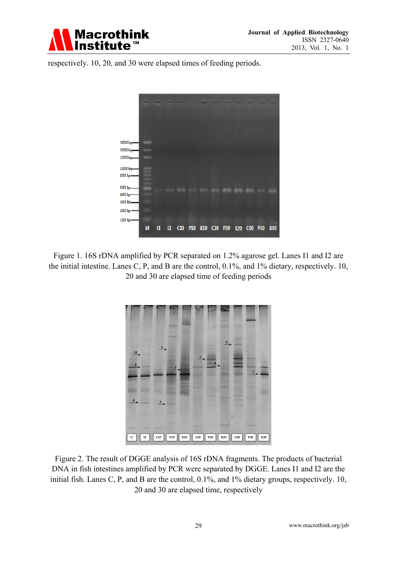

respectively. 10, 20, and 30 were elapsed times of feeding periods.



Figure 1. 16S rDNA amplified by PCR separated on 1.2% agarose gel. Lanes I1 and I2 are the initial intestine. Lanes C, P, and B are the control, 0.1%, and 1% dietary, respectively. 10, 20 and 30 are elapsed time of feeding periods



Figure 2. The result of DGGE analysis of 16S rDNA fragments. The products of bacterial DNA in fish intestines amplified by PCR were separated by DGGE. Lanes I1 and I2 are the initial fish. Lanes C, P, and B are the control, 0.1%, and 1% dietary groups, respectively. 10, 20 and 30 are elapsed time, respectively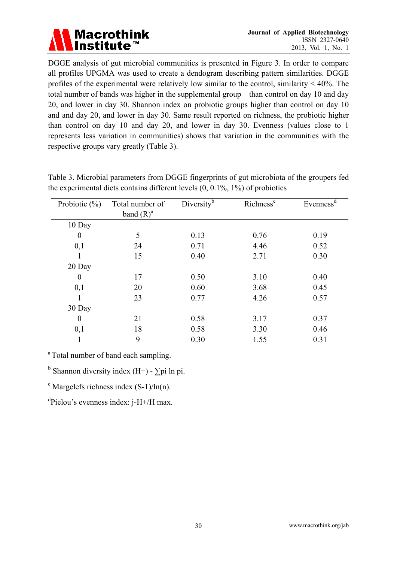

DGGE analysis of gut microbial communities is presented in Figure 3. In order to compare all profiles UPGMA was used to create a dendogram describing pattern similarities. DGGE profiles of the experimental were relatively low similar to the control, similarity  $< 40\%$ . The total number of bands was higher in the supplemental group than control on day 10 and day 20, and lower in day 30. Shannon index on probiotic groups higher than control on day 10 and and day 20, and lower in day 30. Same result reported on richness, the probiotic higher than control on day 10 and day 20, and lower in day 30. Evenness (values close to 1 represents less variation in communities) shows that variation in the communities with the respective groups vary greatly (Table 3).

| Probiotic $(\% )$ | Total number of<br>band $(R)^a$ | Diversity <sup>b</sup> | Richness <sup>c</sup> | Evenness <sup>d</sup> |
|-------------------|---------------------------------|------------------------|-----------------------|-----------------------|
|                   |                                 |                        |                       |                       |
| 10 Day            |                                 |                        |                       |                       |
| $\boldsymbol{0}$  | 5                               | 0.13                   | 0.76                  | 0.19                  |
| 0,1               | 24                              | 0.71                   | 4.46                  | 0.52                  |
|                   | 15                              | 0.40                   | 2.71                  | 0.30                  |
| 20 Day            |                                 |                        |                       |                       |
| 0                 | 17                              | 0.50                   | 3.10                  | 0.40                  |
| 0,1               | 20                              | 0.60                   | 3.68                  | 0.45                  |
|                   | 23                              | 0.77                   | 4.26                  | 0.57                  |
| 30 Day            |                                 |                        |                       |                       |
| $\theta$          | 21                              | 0.58                   | 3.17                  | 0.37                  |
| 0,1               | 18                              | 0.58                   | 3.30                  | 0.46                  |
|                   | 9                               | 0.30                   | 1.55                  | 0.31                  |

Table 3. Microbial parameters from DGGE fingerprints of gut microbiota of the groupers fed the experimental diets contains different levels (0, 0.1%, 1%) of probiotics

<sup>a</sup> Total number of band each sampling.

<sup>b</sup> Shannon diversity index (H+) -  $\Sigma$ pi ln pi.

 $\textdegree$  Margelefs richness index (S-1)/ln(n).

<sup>d</sup>Pielou's evenness index: j-H+/H max.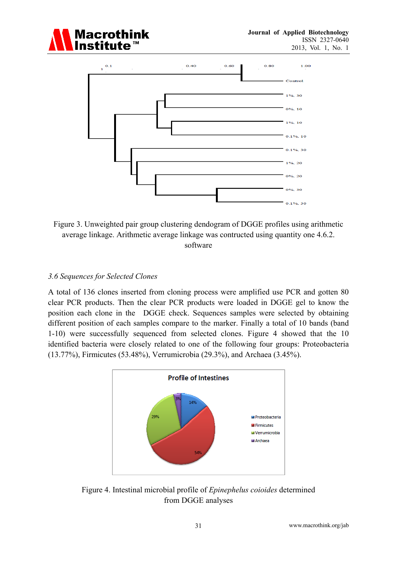



Figure 3. Unweighted pair group clustering dendogram of DGGE profiles using arithmetic average linkage. Arithmetic average linkage was contructed using quantity one 4.6.2. software

#### *3.6 Sequences for Selected Clones*

A total of 136 clones inserted from cloning process were amplified use PCR and gotten 80 clear PCR products. Then the clear PCR products were loaded in DGGE gel to know the position each clone in the DGGE check. Sequences samples were selected by obtaining different position of each samples compare to the marker. Finally a total of 10 bands (band 1-10) were successfully sequenced from selected clones. Figure 4 showed that the 10 identified bacteria were closely related to one of the following four groups: Proteobacteria (13.77%), Firmicutes (53.48%), Verrumicrobia (29.3%), and Archaea (3.45%).



Figure 4. Intestinal microbial profile of *Epinephelus coioides* determined from DGGE analyses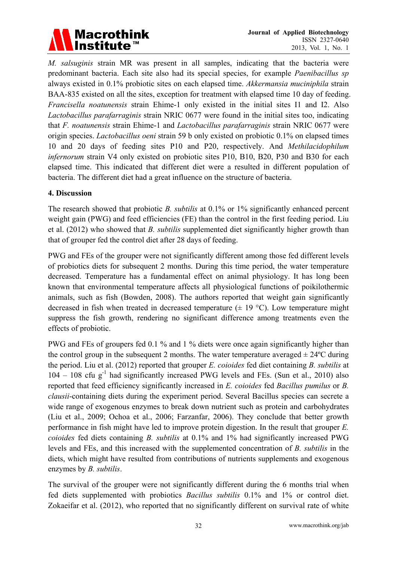

*M. salsuginis* strain MR was present in all samples, indicating that the bacteria were predominant bacteria. Each site also had its special species, for example *Paenibacillus sp* always existed in 0.1% probiotic sites on each elapsed time. *Akkermansia muciniphila* strain BAA-835 existed on all the sites, exception for treatment with elapsed time 10 day of feeding. *Francisella noatunensis* strain Ehime-1 only existed in the initial sites I1 and I2. Also *Lactobacillus parafarraginis* strain NRIC 0677 were found in the initial sites too, indicating that *F. noatunensis* strain Ehime-1 and *Lactobacillus parafarraginis* strain NRIC 0677 were origin species. *Lactobacillus oeni* strain 59 b only existed on probiotic 0.1% on elapsed times 10 and 20 days of feeding sites P10 and P20, respectively. And *Methilacidophilum infernorum* strain V4 only existed on probiotic sites P10, B10, B20, P30 and B30 for each elapsed time. This indicated that different diet were a resulted in different population of bacteria. The different diet had a great influence on the structure of bacteria.

#### **4. Discussion**

The research showed that probiotic *B. subtilis* at 0.1% or 1% significantly enhanced percent weight gain (PWG) and feed efficiencies (FE) than the control in the first feeding period. Liu et al. (2012) who showed that *B. subtilis* supplemented diet significantly higher growth than that of grouper fed the control diet after 28 days of feeding.

PWG and FEs of the grouper were not significantly different among those fed different levels of probiotics diets for subsequent 2 months. During this time period, the water temperature decreased. Temperature has a fundamental effect on animal physiology. It has long been known that environmental temperature affects all physiological functions of poikilothermic animals, such as fish (Bowden, 2008). The authors reported that weight gain significantly decreased in fish when treated in decreased temperature  $(\pm 19 \degree C)$ . Low temperature might suppress the fish growth, rendering no significant difference among treatments even the effects of probiotic.

PWG and FEs of groupers fed 0.1 % and 1 % diets were once again significantly higher than the control group in the subsequent 2 months. The water temperature averaged  $\pm 24^{\circ}$ C during the period. Liu et al. (2012) reported that grouper *E. coioides* fed diet containing *B. subtilis* at  $104 - 108$  cfu g<sup>-1</sup> had significantly increased PWG levels and FEs. (Sun et al., 2010) also reported that feed efficiency significantly increased in *E. coioides* fed *Bacillus pumilus* or *B. clausii*-containing diets during the experiment period. Several Bacillus species can secrete a wide range of exogenous enzymes to break down nutrient such as protein and carbohydrates (Liu et al., 2009; Ochoa et al., 2006; Farzanfar, 2006). They conclude that better growth performance in fish might have led to improve protein digestion. In the result that grouper *E. coioides* fed diets containing *B. subtilis* at 0.1% and 1% had significantly increased PWG levels and FEs, and this increased with the supplemented concentration of *B. subtilis* in the diets, which might have resulted from contributions of nutrients supplements and exogenous enzymes by *B. subtilis*.

The survival of the grouper were not significantly different during the 6 months trial when fed diets supplemented with probiotics *Bacillus subtilis* 0.1% and 1% or control diet. Zokaeifar et al. (2012), who reported that no significantly different on survival rate of white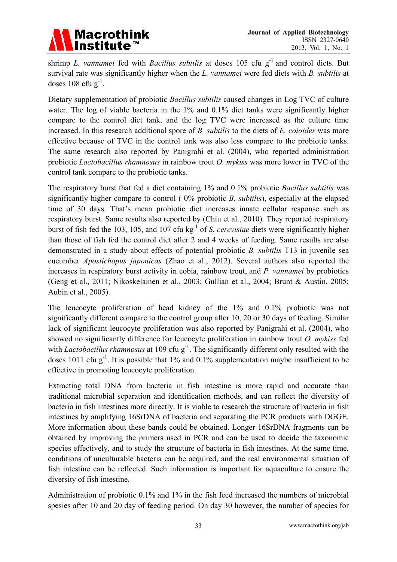

shrimp *L. vannamei* fed with *Bacillus subtilis* at doses 105 cfu g-1 and control diets. But survival rate was significantly higher when the *L. vannamei* were fed diets with *B. subtilis* at doses  $108$  cfu g<sup>-1</sup>.

Dietary supplementation of probiotic *Bacillus subtilis* caused changes in Log TVC of culture water. The log of viable bacteria in the 1% and 0.1% diet tanks were significantly higher compare to the control diet tank, and the log TVC were increased as the culture time increased. In this research additional spore of *B. subtilis* to the diets of *E. coioides* was more effective because of TVC in the control tank was also less compare to the probiotic tanks. The same research also reported by Panigrahi et al. (2004), who reported administration probiotic *Lactobacillus rhamnosus* in rainbow trout *O. mykiss* was more lower in TVC of the control tank compare to the probiotic tanks.

The respiratory burst that fed a diet containing 1% and 0.1% probiotic *Bacillus subtilis* was significantly higher compare to control ( 0% probiotic *B. subtilis*), especially at the elapsed time of 30 days. That's mean probiotic diet increases innate cellular response such as respiratory burst. Same results also reported by (Chiu et al., 2010). They reported respiratory burst of fish fed the 103, 105, and 107 cfu kg-1 of *S. cerevisiae* diets were significantly higher than those of fish fed the control diet after 2 and 4 weeks of feeding. Same results are also demonstrated in a study about effects of potential probiotic *B. subtilis* T13 in juvenile sea cucumber *Apostichopus japonicas* (Zhao et al., 2012). Several authors also reported the increases in respiratory burst activity in cobia, rainbow trout, and *P. vannamei* by probiotics (Geng et al., 2011; Nikoskelainen et al., 2003; Gullian et al., 2004; Brunt & Austin, 2005; Aubin et al., 2005).

The leucocyte proliferation of head kidney of the 1% and 0.1% probiotic was not significantly different compare to the control group after 10, 20 or 30 days of feeding. Similar lack of significant leucocyte proliferation was also reported by Panigrahi et al. (2004), who showed no significantly difference for leucocyte proliferation in rainbow trout *O. mykiss* fed with *Lactobacillus rhamnosus* at 109 cfu g<sup>-1</sup>. The significantly different only resulted with the doses 1011 cfu  $g^{-1}$ . It is possible that 1% and 0.1% supplementation maybe insufficient to be effective in promoting leucocyte proliferation.

Extracting total DNA from bacteria in fish intestine is more rapid and accurate than traditional microbial separation and identification methods, and can reflect the diversity of bacteria in fish intestines more directly. It is viable to research the structure of bacteria in fish intestines by amplifying 16SrDNA of bacteria and separating the PCR products with DGGE. More information about these bands could be obtained. Longer 16SrDNA fragments can be obtained by improving the primers used in PCR and can be used to decide the taxonomic species effectively, and to study the structure of bacteria in fish intestines. At the same time, conditions of unculturable bacteria can be acquired, and the real environmental situation of fish intestine can be reflected. Such information is important for aquaculture to ensure the diversity of fish intestine.

Administration of probiotic 0.1% and 1% in the fish feed increased the numbers of microbial spesies after 10 and 20 day of feeding period. On day 30 however, the number of species for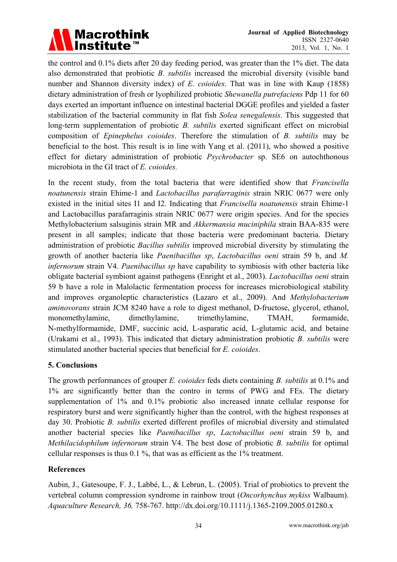

the control and 0.1% diets after 20 day feeding period, was greater than the 1% diet. The data also demonstrated that probiotic *B. subtilis* increased the microbial diversity (visible band number and Shannon diversity index) of *E. coioides*. That was in line with Kaup (1858) dietary administration of fresh or lyophilized probiotic *Shewanella putrefaciens* Pdp 11 for 60 days exerted an important influence on intestinal bacterial DGGE profiles and yielded a faster stabilization of the bacterial community in flat fish *Solea senegalensis*. This suggested that long-term supplementation of probiotic *B. subtilis* exerted significant effect on microbial composition of *Epinephelus coioides*. Therefore the stimulation of *B. subtilis* may be beneficial to the host. This result is in line with Yang et al. (2011), who showed a positive effect for dietary administration of probiotic *Psychrobacter* sp. SE6 on autochthonous microbiota in the GI tract of *E. coioides.* 

In the recent study, from the total bacteria that were identified show that *Francisella noatunensis* strain Ehime-1 and *Lactobacillus parafarraginis* strain NRIC 0677 were only existed in the initial sites I1 and I2. Indicating that *Francisella noatunensis* strain Ehime-1 and Lactobacillus parafarraginis strain NRIC 0677 were origin species. And for the species Methylobacterium salsuginis strain MR and *Akkermansia muciniphila* strain BAA-835 were present in all samples; indicate that those bacteria were predominant bacteria. Dietary administration of probiotic *Bacillus subtilis* improved microbial diversity by stimulating the growth of another bacteria like *Paenibacillus sp*, *Lactobacillus oeni* strain 59 b, and *M. infernorum* strain V4. *Paenibacillus sp* have capability to symbiosis with other bacteria like obligate bacterial symbiont against pathogens (Enright et al., 2003). *Lactobacillus oeni* strain 59 b have a role in Malolactic fermentation process for increases microbiological stability and improves organoleptic characteristics (Lazaro et al., 2009). And *Methylobacterium aminovorans* strain JCM 8240 have a role to digest methanol, D-fructose, glycerol, ethanol, monomethylamine, dimethylamine, trimethylamine, TMAH, formamide, N-methylformamide, DMF, succinic acid, L-asparatic acid, L-glutamic acid, and betaine (Urakami et al., 1993). This indicated that dietary administration probiotic *B. subtilis* were stimulated another bacterial species that beneficial for *E. coioides*.

### **5. Conclusions**

The growth performances of grouper *E. coioides* feds diets containing *B. subtilis* at 0.1% and 1% are significantly better than the contro in terms of PWG and FEs. The dietary supplementation of 1% and 0.1% probiotic also increased innate cellular response for respiratory burst and were significantly higher than the control, with the highest responses at day 30. Probiotic *B. subtilis* exerted different profiles of microbial diversity and stimulated another bacterial species like *Paenibacillus sp*, *Lactobacillus oeni* strain 59 b, and *Methilacidophilum infernorum* strain V4. The best dose of probiotic *B. subtilis* for optimal cellular responses is thus 0.1 %, that was as efficient as the 1% treatment.

### **References**

Aubin, J., Gatesoupe, F. J., Labbé, L., & Lebrun, L. (2005). Trial of probiotics to prevent the vertebral column compression syndrome in rainbow trout (*Oncorhynchus mykiss* Walbaum). *Aquaculture Research, 36,* 758-767. http://dx.doi.org/10.1111/j.1365-2109.2005.01280.x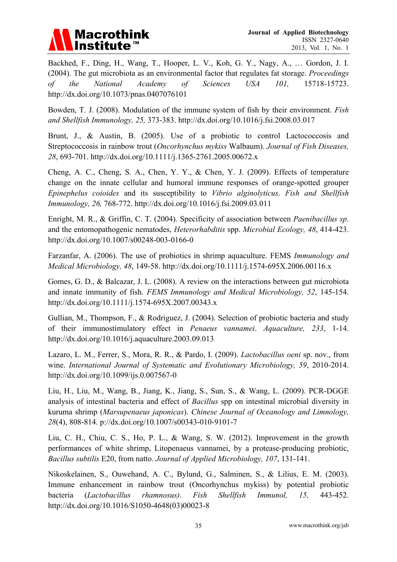

Backhed, F., Ding, H., Wang, T., Hooper, L. V., Koh, G. Y., Nagy, A., … Gordon, J. I. (2004). The gut microbiota as an environmental factor that regulates fat storage. *Proceedings of the National Academy of Sciences USA 101,* 15718-15723. http://dx.doi.org/10.1073/pnas.0407076101

Bowden, T. J. (2008). Modulation of the immune system of fish by their environment. *Fish and Shellfish Immunology, 25,* 373-383. http://dx.doi.org/10.1016/j.fsi.2008.03.017

Brunt, J., & Austin, B. (2005). Use of a probiotic to control Lactococcosis and Streptococcosis in rainbow trout (*Oncorhynchus mykiss* Walbaum). *Journal of Fish Diseases, 28*, 693-701. http://dx.doi.org/10.1111/j.1365-2761.2005.00672.x

Cheng, A. C., Cheng, S. A., Chen, Y. Y., & Chen, Y. J. (2009). Effects of temperature change on the innate cellular and humoral immune responses of orange-spotted grouper *Epinephelus coioides* and its susceptibility to *Vibrio alginolyticus*. *Fish and Shellfish Immunology, 26,* 768-772. http://dx.doi.org/10.1016/j.fsi.2009.03.011

Enright, M. R., & Griffin, C. T. (2004). Specificity of association between *Paenibacillus sp*. and the entomopathogenic nematodes, *Heterorhabditis* spp. *Microbial Ecology, 48*, 414-423. http://dx.doi.org/10.1007/s00248-003-0166-0

Farzanfar, A. (2006). The use of probiotics in shrimp aquaculture. FEMS *Immunology and Medical Microbiology, 48*, 149-58. http://dx.doi.org/10.1111/j.1574-695X.2006.00116.x

Gomes, G. D., & Balcazar, J. L. (2008). A review on the interactions between gut microbiota and innate immunity of fish. *FEMS Immunology and Medical Microbiology, 52*, 145-154. http://dx.doi.org/10.1111/j.1574-695X.2007.00343.x

Gullian, M., Thompson, F., & Rodriguez, J. (2004). Selection of probiotic bacteria and study of their immunostimulatory effect in *Penaeus vannamei*. *Aquaculture, 233*, 1-14. http://dx.doi.org/10.1016/j.aquaculture.2003.09.013

Lazaro, L. M., Ferrer, S., Mora, R. R., & Pardo, I. (2009). *Lactobacillus oeni* sp. nov., from wine. *International Journal of Systematic and Evolutionary Microbiology, 59*, 2010-2014. http://dx.doi.org/10.1099/ijs.0.007567-0

Liu, H., Liu, M., Wang, B., Jiang, K., Jiang, S., Sun, S., & Wang, L. (2009). PCR-DGGE analysis of intestinal bacteria and effect of *Bacillus* spp on intestinal microbial diversity in kuruma shrimp (*Marsupenaeus japonicas*). *Chinese Journal of Oceanology and Limnology, 28*(4), 808-814. p://dx.doi.org/10.1007/s00343-010-9101-7

Liu, C. H., Chiu, C. S., Ho, P. L., & Wang, S. W. (2012). Improvement in the growth performances of white shrimp, Litopenaeus vannamei, by a protease-producing probiotic, *Bacillus subtilis* E20, from natto. *Journal of Applied Microbiology, 107*, 131-141.

Nikoskelainen, S., Ouwehand, A. C., Bylund, G., Salminen, S., & Lilius, E. M. (2003). Immune enhancement in rainbow trout (Oncorhynchus mykiss) by potential probiotic bacteria (*Lactobacillus rhamnosus)*. *Fish Shellfish Immunol, 15,* 443-452. http://dx.doi.org/10.1016/S1050-4648(03)00023-8